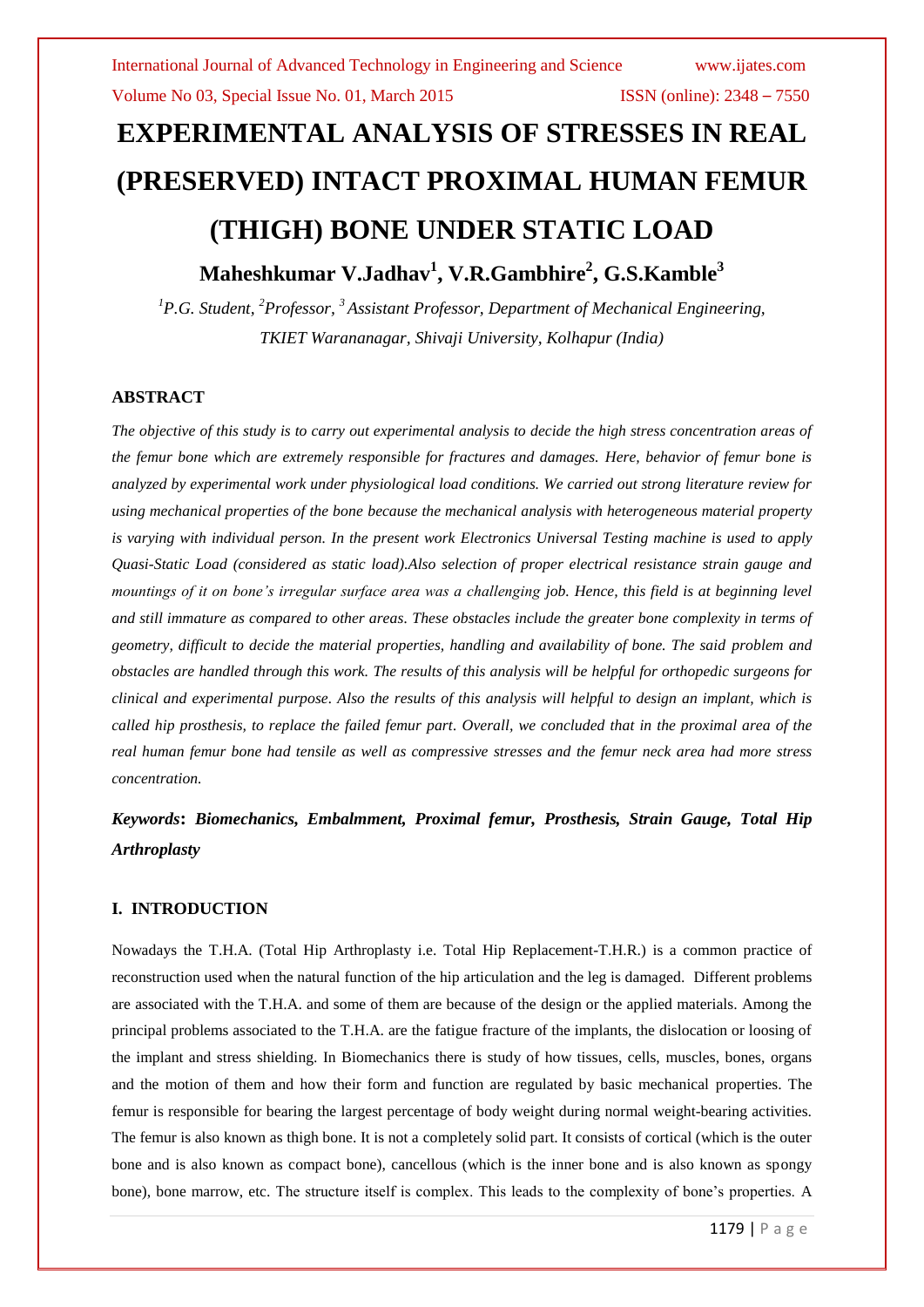# **EXPERIMENTAL ANALYSIS OF STRESSES IN REAL (PRESERVED) INTACT PROXIMAL HUMAN FEMUR (THIGH) BONE UNDER STATIC LOAD**

# **Maheshkumar V.Jadhav<sup>1</sup> , V.R.Gambhire<sup>2</sup> , G.S.Kamble<sup>3</sup>**

*<sup>1</sup>P.G. Student, <sup>2</sup>Professor, <sup>3</sup>Assistant Professor, Department of Mechanical Engineering, TKIET Warananagar, Shivaji University, Kolhapur (India)*

# **ABSTRACT**

*The objective of this study is to carry out experimental analysis to decide the high stress concentration areas of the femur bone which are extremely responsible for fractures and damages. Here, behavior of femur bone is analyzed by experimental work under physiological load conditions. We carried out strong literature review for using mechanical properties of the bone because the mechanical analysis with heterogeneous material property is varying with individual person. In the present work Electronics Universal Testing machine is used to apply Quasi-Static Load (considered as static load).Also selection of proper electrical resistance strain gauge and mountings of it on bone's irregular surface area was a challenging job. Hence, this field is at beginning level and still immature as compared to other areas. These obstacles include the greater bone complexity in terms of geometry, difficult to decide the material properties, handling and availability of bone. The said problem and obstacles are handled through this work. The results of this analysis will be helpful for orthopedic surgeons for clinical and experimental purpose. Also the results of this analysis will helpful to design an implant, which is called hip prosthesis, to replace the failed femur part. Overall, we concluded that in the proximal area of the real human femur bone had tensile as well as compressive stresses and the femur neck area had more stress concentration.*

# *Keywords***:** *Biomechanics, Embalmment, Proximal femur, Prosthesis, Strain Gauge, Total Hip Arthroplasty*

# **I. INTRODUCTION**

Nowadays the T.H.A. (Total Hip Arthroplasty i.e. Total Hip Replacement-T.H.R.) is a common practice of reconstruction used when the natural function of the hip articulation and the leg is damaged. Different problems are associated with the T.H.A. and some of them are because of the design or the applied materials. Among the principal problems associated to the T.H.A. are the fatigue fracture of the implants, the dislocation or loosing of the implant and stress shielding. In Biomechanics there is study of how tissues, cells, muscles, bones, organs and the motion of them and how their form and function are regulated by basic mechanical properties. The femur is responsible for bearing the largest percentage of body weight during normal weight-bearing activities. The femur is also known as thigh bone. It is not a completely solid part. It consists of cortical (which is the outer bone and is also known as compact bone), cancellous (which is the inner bone and is also known as spongy bone), bone marrow, etc. The structure itself is complex. This leads to the complexity of bone"s properties. A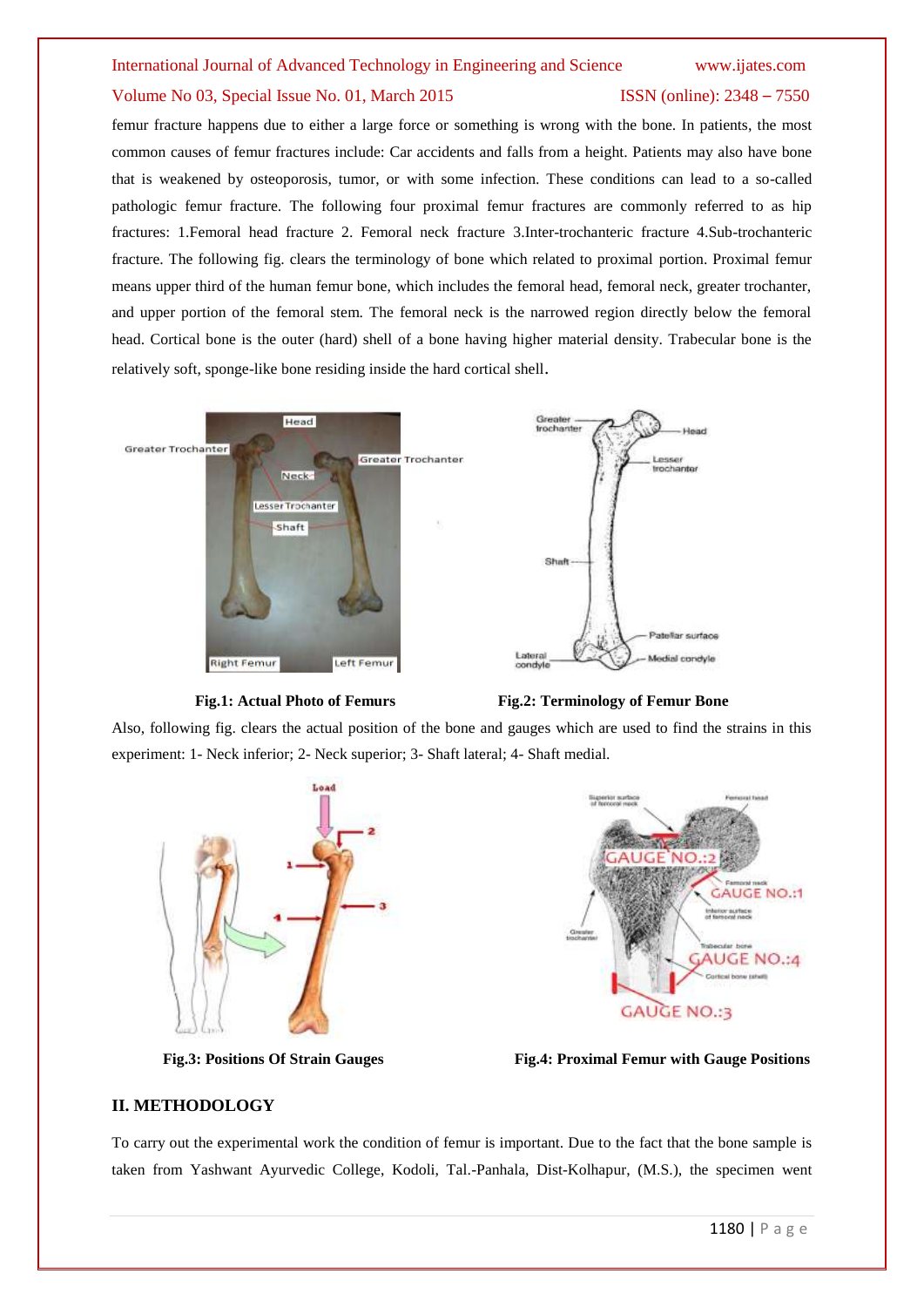# Volume No 03, Special Issue No. 01, March 2015 ISSN (online): 2348 – 7550

femur fracture happens due to either a large force or something is wrong with the bone. In patients, the most common causes of femur fractures include: Car accidents and falls from a height. Patients may also have bone that is weakened by osteoporosis, tumor, or with some infection. These conditions can lead to a so-called pathologic femur fracture. The following four proximal femur fractures are commonly referred to as hip fractures: 1.Femoral head fracture 2. Femoral neck fracture 3.Inter-trochanteric fracture 4.Sub-trochanteric fracture. The following fig. clears the terminology of bone which related to proximal portion. Proximal femur means upper third of the human femur bone, which includes the femoral head, femoral neck, greater trochanter, and upper portion of the femoral stem. The femoral neck is the narrowed region directly below the femoral head. Cortical bone is the outer (hard) shell of a bone having higher material density. Trabecular bone is the relatively soft, sponge-like bone residing inside the hard cortical shell.







Also, following fig. clears the actual position of the bone and gauges which are used to find the strains in this experiment: 1- Neck inferior; 2- Neck superior; 3- Shaft lateral; 4- Shaft medial.





**Fig.3: Positions Of Strain Gauges Fig.4: Proximal Femur with Gauge Positions**

### **II. METHODOLOGY**

To carry out the experimental work the condition of femur is important. Due to the fact that the bone sample is taken from Yashwant Ayurvedic College, Kodoli, Tal.-Panhala, Dist-Kolhapur, (M.S.), the specimen went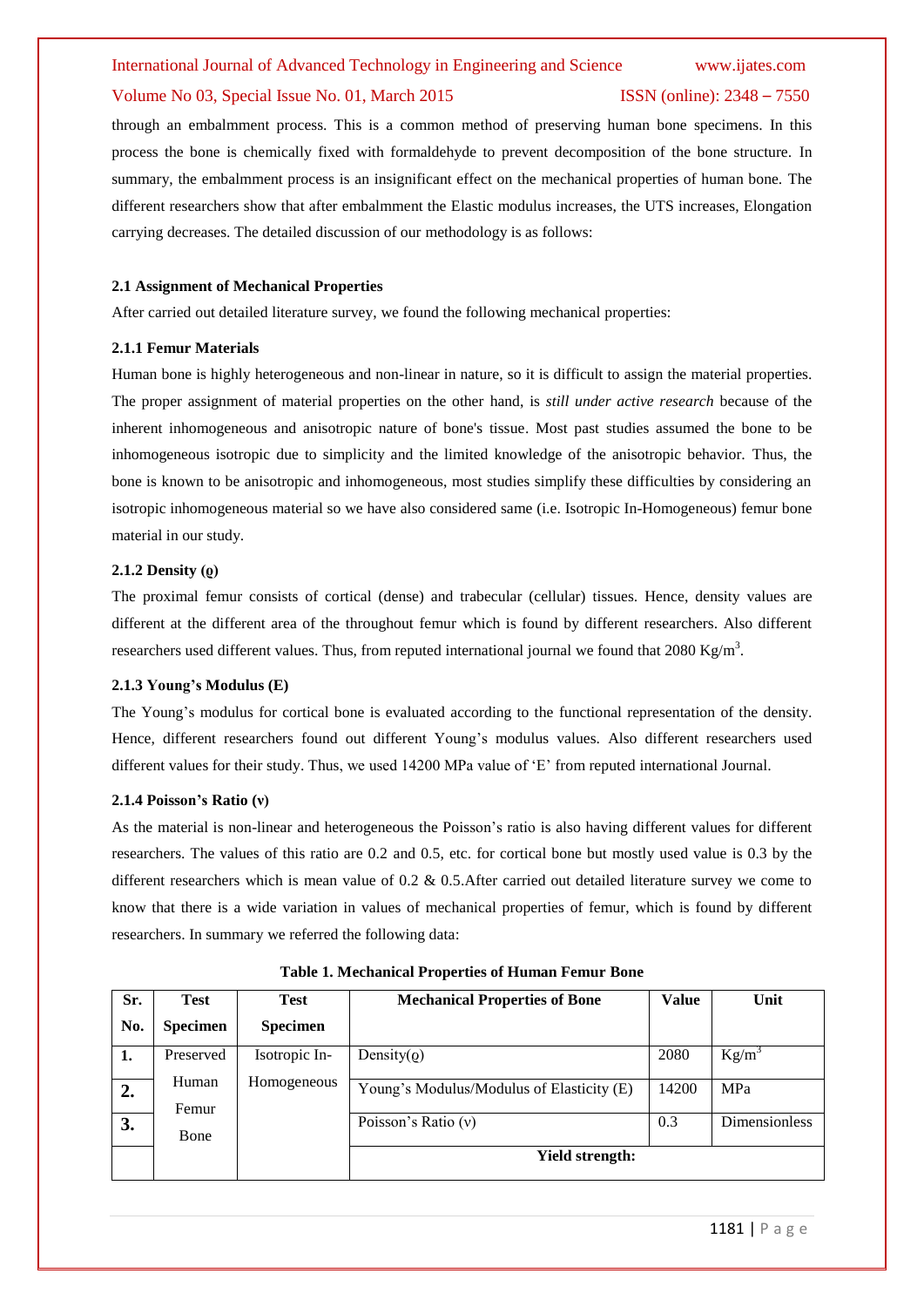### Volume No 03, Special Issue No. 01, March 2015 ISSN (online): 2348 – 7550

through an embalmment process. This is a common method of preserving human bone specimens. In this process the bone is chemically fixed with formaldehyde to prevent decomposition of the bone structure. In summary, the embalmment process is an insignificant effect on the mechanical properties of human bone. The different researchers show that after embalmment the Elastic modulus increases, the UTS increases, Elongation carrying decreases. The detailed discussion of our methodology is as follows:

### **2.1 Assignment of Mechanical Properties**

After carried out detailed literature survey, we found the following mechanical properties:

### **2.1.1 Femur Materials**

Human bone is highly heterogeneous and non-linear in nature, so it is difficult to assign the material properties. The proper assignment of material properties on the other hand, is *still under active research* because of the inherent inhomogeneous and anisotropic nature of bone's tissue. Most past studies assumed the bone to be inhomogeneous isotropic due to simplicity and the limited knowledge of the anisotropic behavior. Thus, the bone is known to be anisotropic and inhomogeneous, most studies simplify these difficulties by considering an isotropic inhomogeneous material so we have also considered same (i.e. Isotropic In-Homogeneous) femur bone material in our study.

### **2.1.2 Density (ϱ)**

The proximal femur consists of cortical (dense) and trabecular (cellular) tissues. Hence, density values are different at the different area of the throughout femur which is found by different researchers. Also different researchers used different values. Thus, from reputed international journal we found that 2080 Kg/m<sup>3</sup>.

#### **2.1.3 Young's Modulus (E)**

The Young's modulus for cortical bone is evaluated according to the functional representation of the density. Hence, different researchers found out different Young"s modulus values. Also different researchers used different values for their study. Thus, we used 14200 MPa value of "E" from reputed international Journal.

#### **2.1.4 Poisson's Ratio (ν)**

As the material is non-linear and heterogeneous the Poisson"s ratio is also having different values for different researchers. The values of this ratio are 0.2 and 0.5, etc. for cortical bone but mostly used value is 0.3 by the different researchers which is mean value of 0.2 & 0.5.After carried out detailed literature survey we come to know that there is a wide variation in values of mechanical properties of femur, which is found by different researchers. In summary we referred the following data:

| Sr. | <b>Test</b>     | <b>Test</b>     | <b>Mechanical Properties of Bone</b>      | <b>Value</b> | Unit                 |
|-----|-----------------|-----------------|-------------------------------------------|--------------|----------------------|
| No. | <b>Specimen</b> | <b>Specimen</b> |                                           |              |                      |
| 1.  | Preserved       | Isotropic In-   | Density( $\rho$ )                         | 2080         | $Kg/m^3$             |
| 2.  | Human<br>Femur  | Homogeneous     | Young's Modulus/Modulus of Elasticity (E) | 14200        | MPa                  |
| 3.  | Bone            |                 | Poisson's Ratio $(v)$                     | 0.3          | <b>Dimensionless</b> |
|     |                 |                 | <b>Yield strength:</b>                    |              |                      |

**Table 1. Mechanical Properties of Human Femur Bone**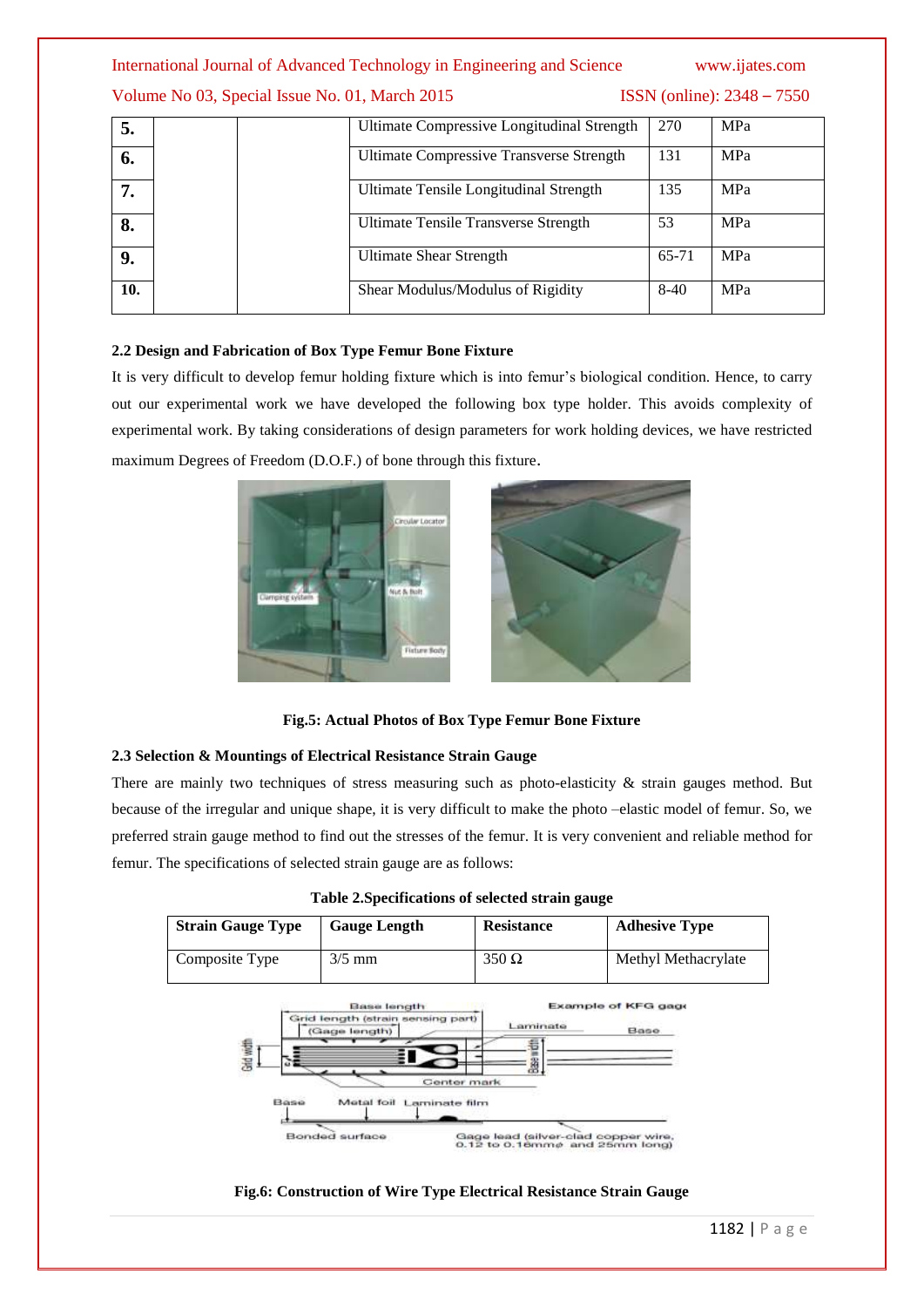# Volume No 03, Special Issue No. 01, March 2015 **ISSN** (online): 2348 – 7550

| 5.  | Ultimate Compressive Longitudinal Strength      | 270    | MPa        |
|-----|-------------------------------------------------|--------|------------|
| 6.  | <b>Ultimate Compressive Transverse Strength</b> | 131    | MPa        |
|     | Ultimate Tensile Longitudinal Strength          | 135    | MPa        |
| 8.  | Ultimate Tensile Transverse Strength            | 53     | MPa        |
| 9.  | <b>Ultimate Shear Strength</b>                  | 65-71  | MPa        |
| 10. | Shear Modulus/Modulus of Rigidity               | $8-40$ | <b>MPa</b> |

# **2.2 Design and Fabrication of Box Type Femur Bone Fixture**

It is very difficult to develop femur holding fixture which is into femur"s biological condition. Hence, to carry out our experimental work we have developed the following box type holder. This avoids complexity of experimental work. By taking considerations of design parameters for work holding devices, we have restricted maximum Degrees of Freedom (D.O.F.) of bone through this fixture.



**Fig.5: Actual Photos of Box Type Femur Bone Fixture**

# **2.3 Selection & Mountings of Electrical Resistance Strain Gauge**

There are mainly two techniques of stress measuring such as photo-elasticity  $\&$  strain gauges method. But because of the irregular and unique shape, it is very difficult to make the photo –elastic model of femur. So, we preferred strain gauge method to find out the stresses of the femur. It is very convenient and reliable method for femur. The specifications of selected strain gauge are as follows:

| <b>Strain Gauge Type</b> | <b>Gauge Length</b> | <b>Resistance</b> | <b>Adhesive Type</b> |
|--------------------------|---------------------|-------------------|----------------------|
| Composite Type           | $3/5$ mm            | $350 \Omega$      | Methyl Methacrylate  |

|  |  | Table 2. Specifications of selected strain gauge |  |  |  |  |
|--|--|--------------------------------------------------|--|--|--|--|
|--|--|--------------------------------------------------|--|--|--|--|



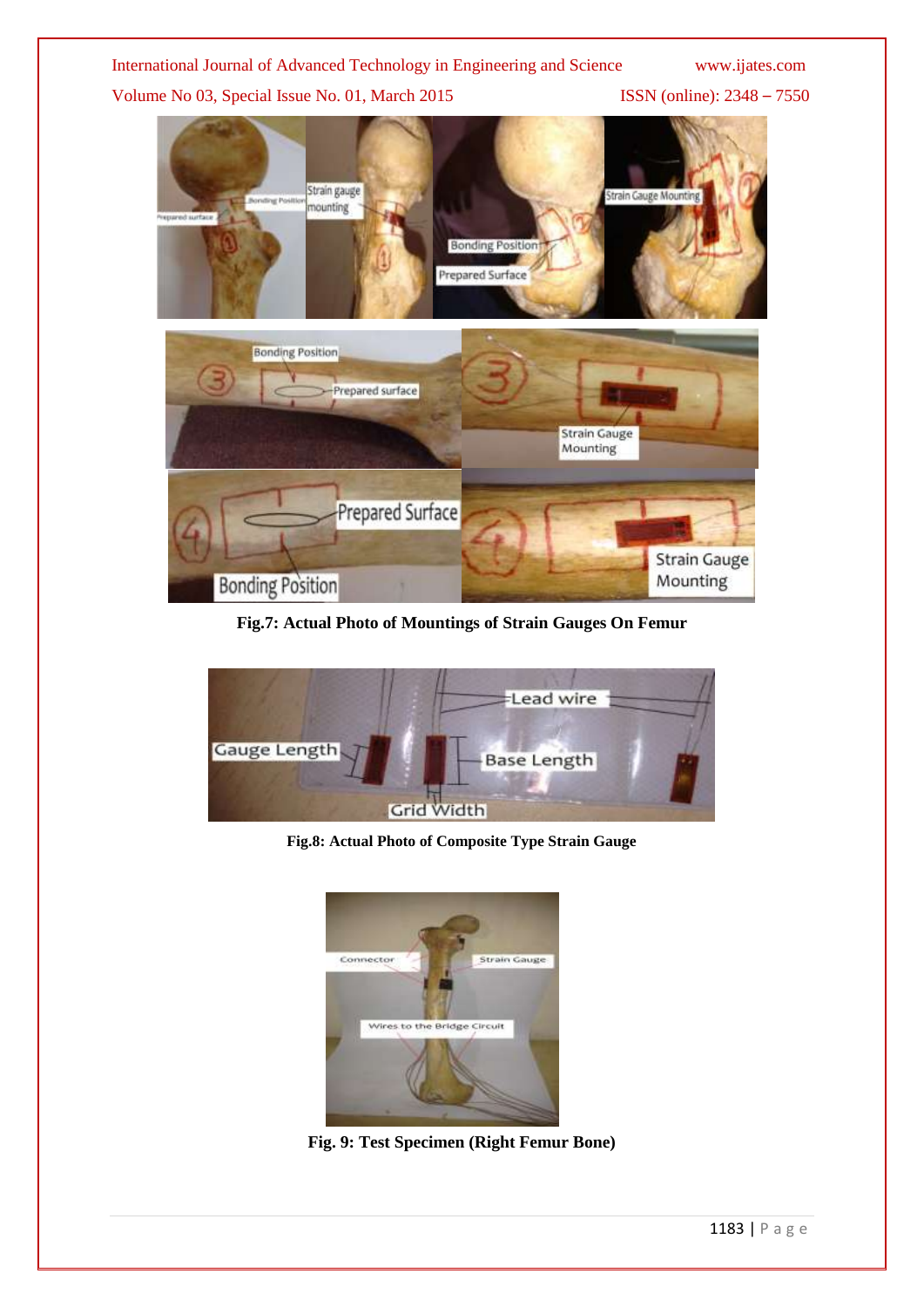Volume No 03, Special Issue No. 01, March 2015 ISSN (online): 2348 - 7550



**Fig.7: Actual Photo of Mountings of Strain Gauges On Femur**



**Fig.8: Actual Photo of Composite Type Strain Gauge**



**Fig. 9: Test Specimen (Right Femur Bone)**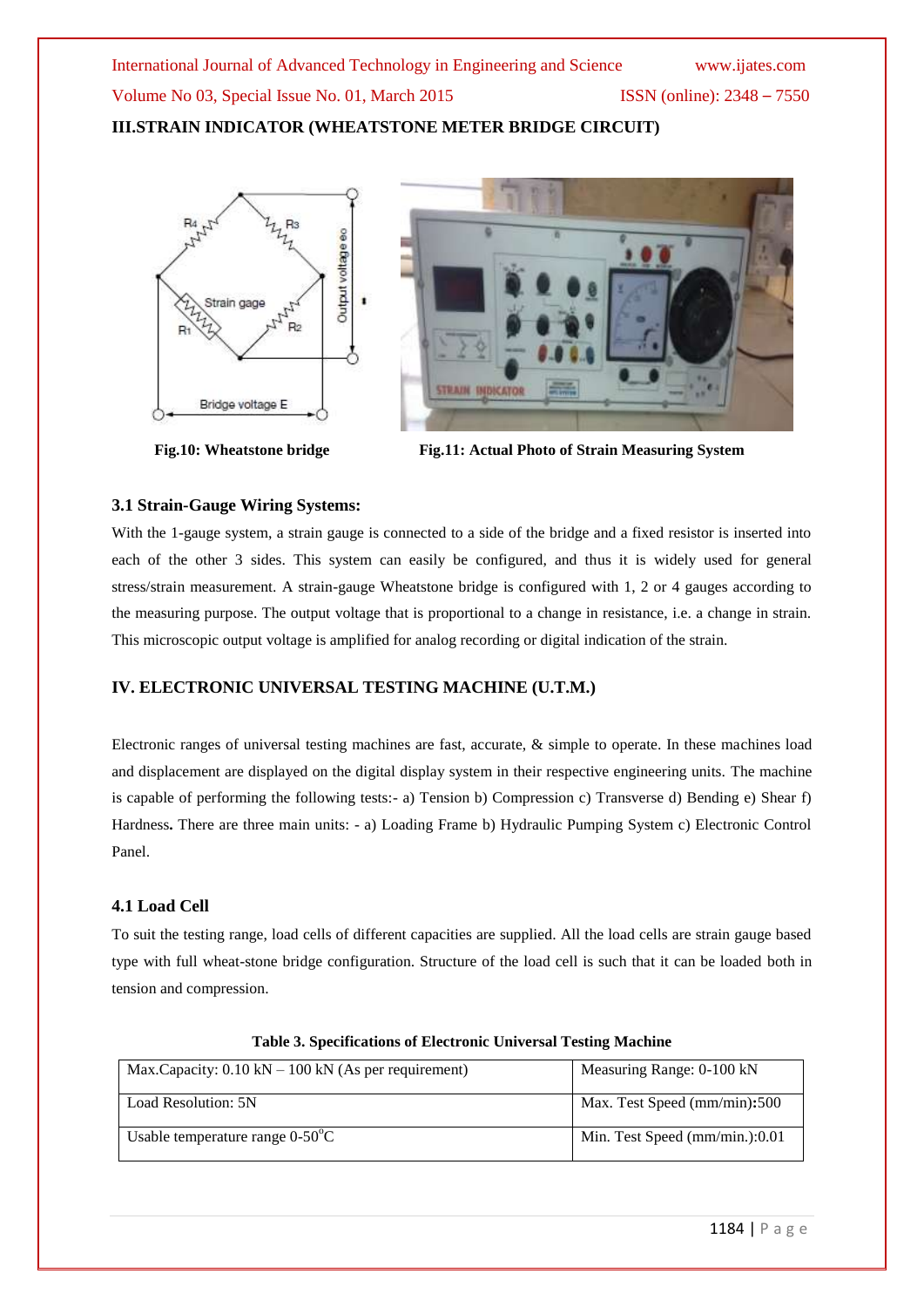# **III.STRAIN INDICATOR (WHEATSTONE METER BRIDGE CIRCUIT)**





**Fig.10: Wheatstone bridge Fig.11:** Actual Photo of Strain Measuring System

# **3.1 Strain-Gauge Wiring Systems:**

With the 1-gauge system, a strain gauge is connected to a side of the bridge and a fixed resistor is inserted into each of the other 3 sides. This system can easily be configured, and thus it is widely used for general stress/strain measurement. A strain-gauge Wheatstone bridge is configured with 1, 2 or 4 gauges according to the measuring purpose. The output voltage that is proportional to a change in resistance, i.e. a change in strain. This microscopic output voltage is amplified for analog recording or digital indication of the strain.

# **IV. ELECTRONIC UNIVERSAL TESTING MACHINE (U.T.M.)**

Electronic ranges of universal testing machines are fast, accurate, & simple to operate. In these machines load and displacement are displayed on the digital display system in their respective engineering units. The machine is capable of performing the following tests:- a) Tension b) Compression c) Transverse d) Bending e) Shear f) Hardness**.** There are three main units: - a) Loading Frame b) Hydraulic Pumping System c) Electronic Control Panel.

# **4.1 Load Cell**

To suit the testing range, load cells of different capacities are supplied. All the load cells are strain gauge based type with full wheat-stone bridge configuration. Structure of the load cell is such that it can be loaded both in tension and compression.

| Max.Capacity: $0.10 \text{ kN} - 100 \text{ kN}$ (As per requirement) | Measuring Range: 0-100 kN      |
|-----------------------------------------------------------------------|--------------------------------|
| Load Resolution: 5N                                                   | Max. Test Speed (mm/min):500   |
| Usable temperature range $0-50^{\circ}$ C                             | Min. Test Speed (mm/min.):0.01 |

**Table 3. Specifications of Electronic Universal Testing Machine**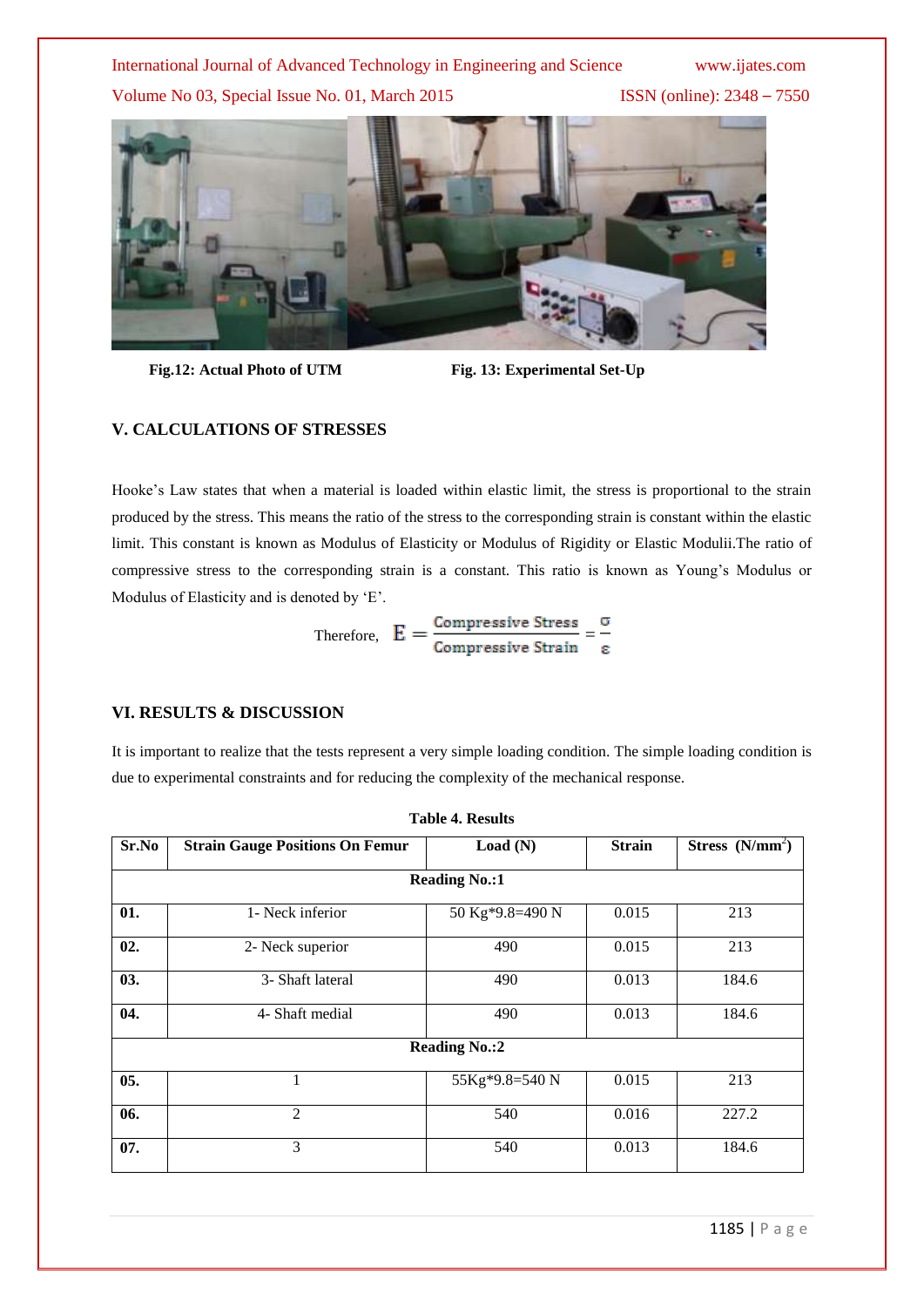Volume No 03, Special Issue No. 01, March 2015 ISSN (online): 2348 – 7550



 **Fig.12: Actual Photo of UTM Fig. 13: Experimental Set-Up**

# **V. CALCULATIONS OF STRESSES**

Hooke"s Law states that when a material is loaded within elastic limit, the stress is proportional to the strain produced by the stress. This means the ratio of the stress to the corresponding strain is constant within the elastic limit. This constant is known as Modulus of Elasticity or Modulus of Rigidity or Elastic Modulii.The ratio of compressive stress to the corresponding strain is a constant. This ratio is known as Young"s Modulus or Modulus of Elasticity and is denoted by 'E'.

Therefore, 
$$
E = \frac{\text{Compressive Stress}}{\text{Compressive String}} = \frac{\sigma}{\epsilon}
$$

# **VI. RESULTS & DISCUSSION**

It is important to realize that the tests represent a very simple loading condition. The simple loading condition is due to experimental constraints and for reducing the complexity of the mechanical response.

| Sr.No | <b>Strain Gauge Positions On Femur</b> | Load(N)              | <b>Strain</b> | Stress $(N/mm2)$ |  |  |  |
|-------|----------------------------------------|----------------------|---------------|------------------|--|--|--|
|       |                                        | <b>Reading No.:1</b> |               |                  |  |  |  |
| 01.   | 1- Neck inferior                       | 50 Kg*9.8=490 N      | 0.015         | 213              |  |  |  |
| 02.   | 2- Neck superior                       | 490                  | 0.015         | 213              |  |  |  |
| 03.   | 3- Shaft lateral                       | 490                  | 0.013         | 184.6            |  |  |  |
| 04.   | 4- Shaft medial                        | 490                  | 0.013         | 184.6            |  |  |  |
|       | <b>Reading No.:2</b>                   |                      |               |                  |  |  |  |
| 05.   | 1                                      | 55Kg*9.8=540 N       | 0.015         | 213              |  |  |  |
| 06.   | 2                                      | 540                  | 0.016         | 227.2            |  |  |  |
| 07.   | 3                                      | 540                  | 0.013         | 184.6            |  |  |  |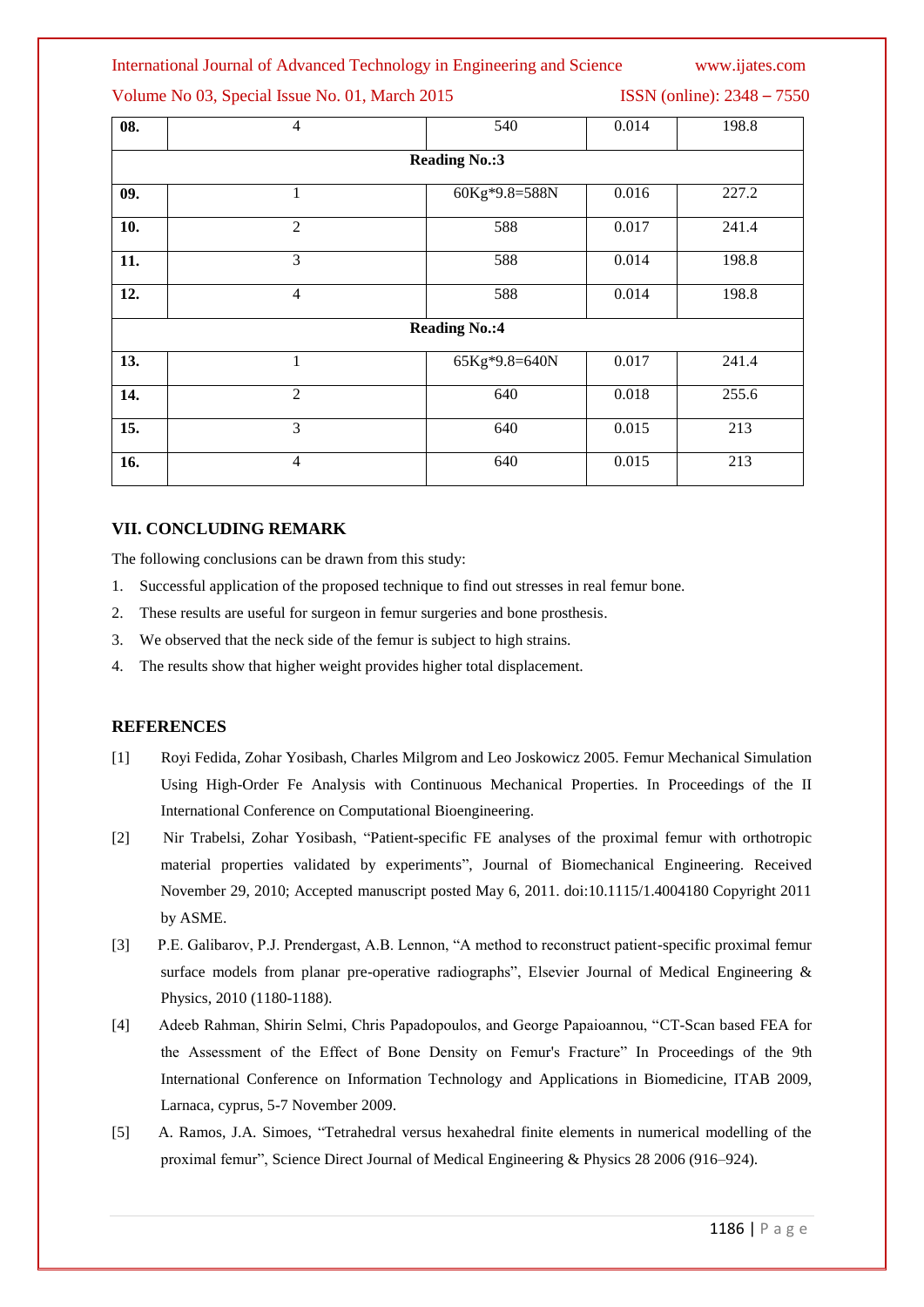# Volume No 03, Special Issue No. 01, March 2015 **ISSN** (online): 2348 – 7550

| 08.                  | $\overline{4}$ | 540                  | 0.014 | 198.8 |
|----------------------|----------------|----------------------|-------|-------|
|                      |                | <b>Reading No.:3</b> |       |       |
| 09.                  | 1              | 60Kg*9.8=588N        | 0.016 | 227.2 |
| 10.                  | $\overline{2}$ | 588                  | 0.017 | 241.4 |
| 11.                  | 3              | 588                  | 0.014 | 198.8 |
| 12.                  | $\overline{4}$ | 588                  | 0.014 | 198.8 |
| <b>Reading No.:4</b> |                |                      |       |       |
| 13.                  | 1              | 65Kg*9.8=640N        | 0.017 | 241.4 |
| 14.                  | 2              | 640                  | 0.018 | 255.6 |
| 15.                  | 3              | 640                  | 0.015 | 213   |
| 16.                  | $\overline{4}$ | 640                  | 0.015 | 213   |

# **VII. CONCLUDING REMARK**

The following conclusions can be drawn from this study:

- 1. Successful application of the proposed technique to find out stresses in real femur bone.
- 2. These results are useful for surgeon in femur surgeries and bone prosthesis.
- 3. We observed that the neck side of the femur is subject to high strains.
- 4. The results show that higher weight provides higher total displacement.

# **REFERENCES**

- [1] Royi Fedida, Zohar Yosibash, Charles Milgrom and Leo Joskowicz 2005. Femur Mechanical Simulation Using High-Order Fe Analysis with Continuous Mechanical Properties. In Proceedings of the II International Conference on Computational Bioengineering.
- [2] Nir Trabelsi, Zohar Yosibash, "Patient-specific FE analyses of the proximal femur with orthotropic material properties validated by experiments", Journal of Biomechanical Engineering. Received November 29, 2010; Accepted manuscript posted May 6, 2011. doi:10.1115/1.4004180 Copyright 2011 by ASME.
- [3] P.E. Galibarov, P.J. Prendergast, A.B. Lennon, "A method to reconstruct patient-specific proximal femur surface models from planar pre-operative radiographs", Elsevier Journal of Medical Engineering & Physics, 2010 (1180-1188).
- [4] Adeeb Rahman, Shirin Selmi, Chris Papadopoulos, and George Papaioannou, "CT-Scan based FEA for the Assessment of the Effect of Bone Density on Femur's Fracture" In Proceedings of the 9th International Conference on Information Technology and Applications in Biomedicine, ITAB 2009, Larnaca, cyprus, 5-7 November 2009.
- [5] A. Ramos, J.A. Simoes, "Tetrahedral versus hexahedral finite elements in numerical modelling of the proximal femur", Science Direct Journal of Medical Engineering & Physics 28 2006 (916–924).